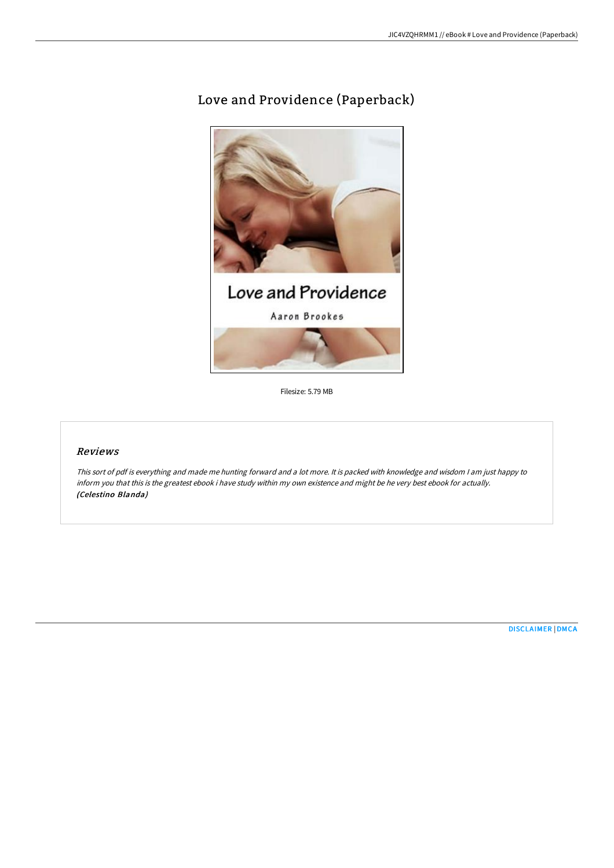# Love and Providence (Paperback)



Filesize: 5.79 MB

## Reviews

This sort of pdf is everything and made me hunting forward and <sup>a</sup> lot more. It is packed with knowledge and wisdom <sup>I</sup> am just happy to inform you that this is the greatest ebook i have study within my own existence and might be he very best ebook for actually. (Celestino Blanda)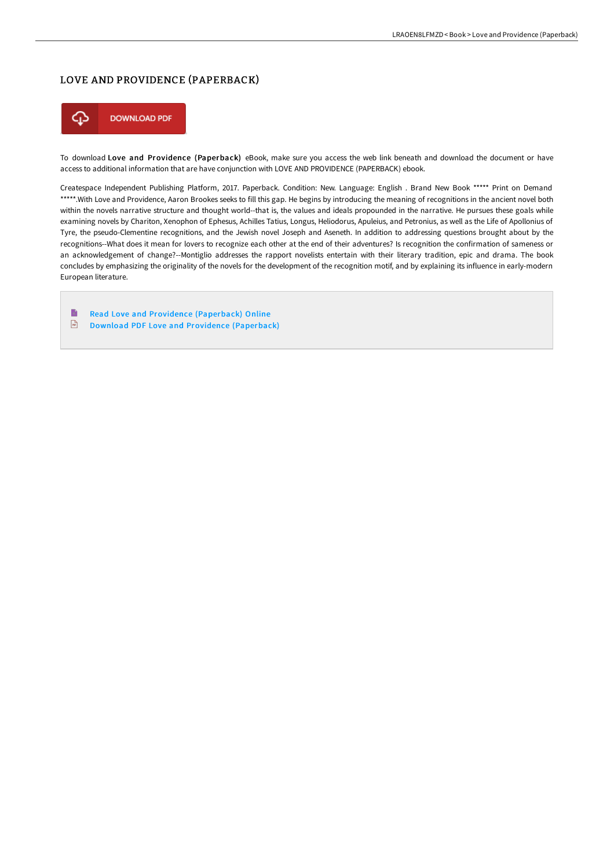# LOVE AND PROVIDENCE (PAPERBACK)



To download Love and Providence (Paperback) eBook, make sure you access the web link beneath and download the document or have access to additional information that are have conjunction with LOVE AND PROVIDENCE (PAPERBACK) ebook.

Createspace Independent Publishing Platform, 2017. Paperback. Condition: New. Language: English . Brand New Book \*\*\*\*\* Print on Demand \*\*\*\*\*.With Love and Providence, Aaron Brookes seeks to fill this gap. He begins by introducing the meaning of recognitions in the ancient novel both within the novels narrative structure and thought world--that is, the values and ideals propounded in the narrative. He pursues these goals while examining novels by Chariton, Xenophon of Ephesus, Achilles Tatius, Longus, Heliodorus, Apuleius, and Petronius, as well as the Life of Apollonius of Tyre, the pseudo-Clementine recognitions, and the Jewish novel Joseph and Aseneth. In addition to addressing questions brought about by the recognitions--What does it mean for lovers to recognize each other at the end of their adventures? Is recognition the confirmation of sameness or an acknowledgement of change?--Montiglio addresses the rapport novelists entertain with their literary tradition, epic and drama. The book concludes by emphasizing the originality of the novels for the development of the recognition motif, and by explaining its influence in early-modern European literature.

B Read Love and Providence [\(Paperback\)](http://techno-pub.tech/love-and-providence-paperback.html) Online  $\boxed{m}$ Download PDF Love and Providence [\(Paperback\)](http://techno-pub.tech/love-and-providence-paperback.html)